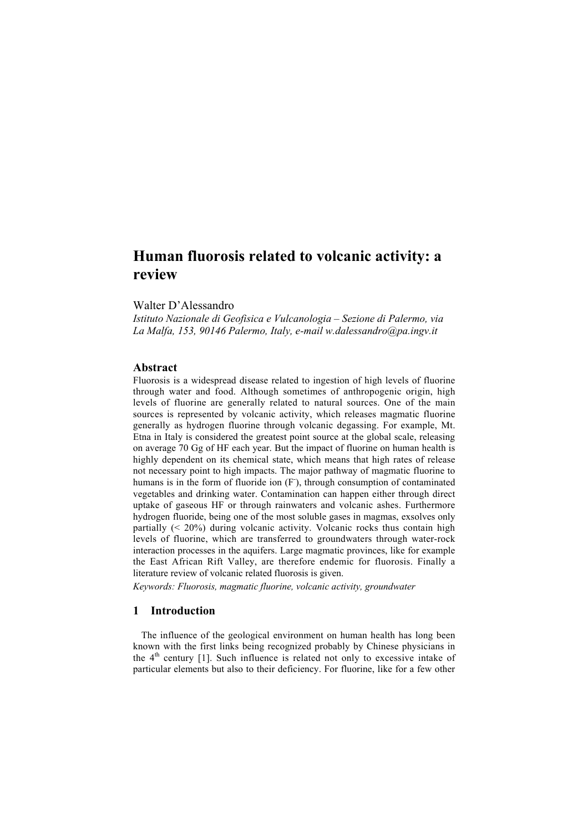# Human fluorosis related to volcanic activity: a review

## Walter D'Alessandro

*Istituto Nazionale di Geofisica e Vulcanologia – Sezione di Palermo, via La Malfa, 153, 90146 Palermo, Italy, e-mail w.dalessandro@pa.ingv.it*

## Abstract

Fluorosis is a widespread disease related to ingestion of high levels of fluorine through water and food. Although sometimes of anthropogenic origin, high levels of fluorine are generally related to natural sources. One of the main sources is represented by volcanic activity, which releases magmatic fluorine generally as hydrogen fluorine through volcanic degassing. For example, Mt. Etna in Italy is considered the greatest point source at the global scale, releasing on average 70 Gg of HF each year. But the impact of fluorine on human health is highly dependent on its chemical state, which means that high rates of release not necessary point to high impacts. The major pathway of magmatic fluorine to humans is in the form of fluoride ion (F), through consumption of contaminated vegetables and drinking water. Contamination can happen either through direct uptake of gaseous HF or through rainwaters and volcanic ashes. Furthermore hydrogen fluoride, being one of the most soluble gases in magmas, exsolves only partially (< 20%) during volcanic activity. Volcanic rocks thus contain high levels of fluorine, which are transferred to groundwaters through water-rock interaction processes in the aquifers. Large magmatic provinces, like for example the East African Rift Valley, are therefore endemic for fluorosis. Finally a literature review of volcanic related fluorosis is given.

*Keywords: Fluorosis, magmatic fluorine, volcanic activity, groundwater*

## 1 Introduction

The influence of the geological environment on human health has long been known with the first links being recognized probably by Chinese physicians in the  $4<sup>th</sup>$  century [1]. Such influence is related not only to excessive intake of particular elements but also to their deficiency. For fluorine, like for a few other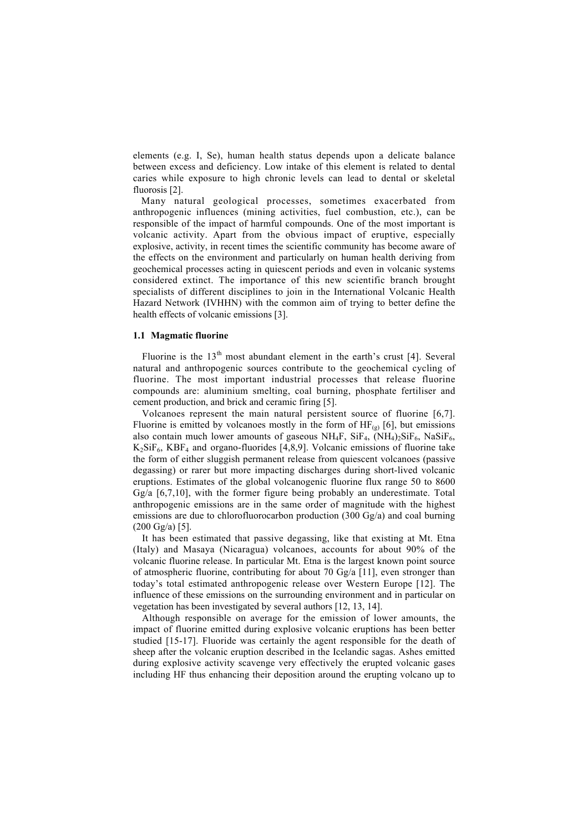elements (e.g. I, Se), human health status depends upon a delicate balance between excess and deficiency. Low intake of this element is related to dental caries while exposure to high chronic levels can lead to dental or skeletal fluorosis [2].

Many natural geological processes, sometimes exacerbated from anthropogenic influences (mining activities, fuel combustion, etc.), can be responsible of the impact of harmful compounds. One of the most important is volcanic activity. Apart from the obvious impact of eruptive, especially explosive, activity, in recent times the scientific community has become aware of the effects on the environment and particularly on human health deriving from geochemical processes acting in quiescent periods and even in volcanic systems considered extinct. The importance of this new scientific branch brought specialists of different disciplines to join in the International Volcanic Health Hazard Network (IVHHN) with the common aim of trying to better define the health effects of volcanic emissions [3].

#### 1.1 Magmatic fluorine

Fluorine is the  $13<sup>th</sup>$  most abundant element in the earth's crust [4]. Several natural and anthropogenic sources contribute to the geochemical cycling of fluorine. The most important industrial processes that release fluorine compounds are: aluminium smelting, coal burning, phosphate fertiliser and cement production, and brick and ceramic firing [5].

Volcanoes represent the main natural persistent source of fluorine [6,7]. Fluorine is emitted by volcanoes mostly in the form of  $HF_{(g)}$  [6], but emissions also contain much lower amounts of gaseous NH<sub>4</sub>F, SiF<sub>4</sub>,  $(NH_4)_2$ SiF<sub>6</sub>, NaSiF<sub>6</sub>,  $K_2SiF_6$ ,  $KBF_4$  and organo-fluorides [4,8,9]. Volcanic emissions of fluorine take the form of either sluggish permanent release from quiescent volcanoes (passive degassing) or rarer but more impacting discharges during short-lived volcanic eruptions. Estimates of the global volcanogenic fluorine flux range 50 to 8600 Gg/a [6,7,10], with the former figure being probably an underestimate. Total anthropogenic emissions are in the same order of magnitude with the highest emissions are due to chlorofluorocarbon production (300 Gg/a) and coal burning (200 Gg/a) [5].

It has been estimated that passive degassing, like that existing at Mt. Etna (Italy) and Masaya (Nicaragua) volcanoes, accounts for about 90% of the volcanic fluorine release. In particular Mt. Etna is the largest known point source of atmospheric fluorine, contributing for about 70 Gg/a [11], even stronger than today's total estimated anthropogenic release over Western Europe [12]. The influence of these emissions on the surrounding environment and in particular on vegetation has been investigated by several authors [12, 13, 14].

Although responsible on average for the emission of lower amounts, the impact of fluorine emitted during explosive volcanic eruptions has been better studied [15-17]. Fluoride was certainly the agent responsible for the death of sheep after the volcanic eruption described in the Icelandic sagas. Ashes emitted during explosive activity scavenge very effectively the erupted volcanic gases including HF thus enhancing their deposition around the erupting volcano up to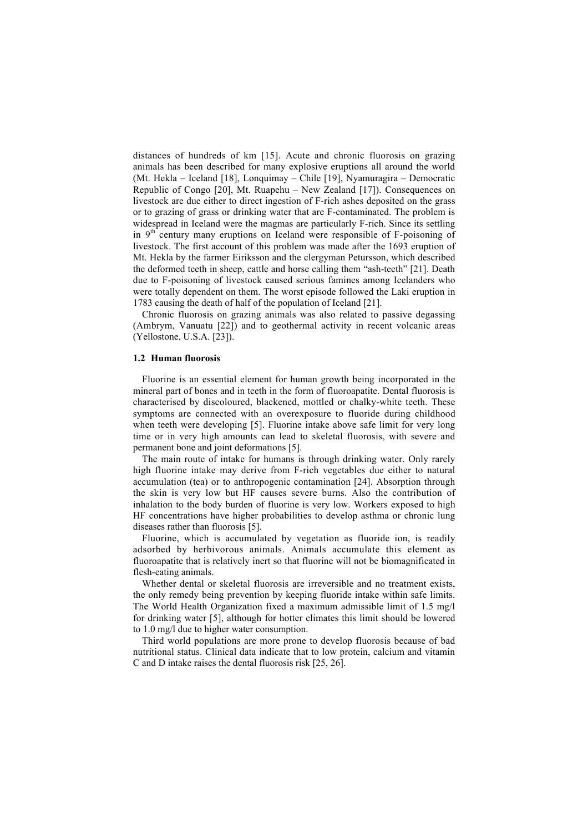distances of hundreds of km [15]. Acute and chronic fluorosis on grazing animals has been described for many explosive eruptions all around the world (Mt. Hekla – Iceland [18], Lonquimay – Chile [19], Nyamuragira – Democratic Republic of Congo [20], Mt. Ruapehu – New Zealand [17]). Consequences on livestock are due either to direct ingestion of F-rich ashes deposited on the grass or to grazing of grass or drinking water that are F-contaminated. The problem is widespread in Iceland were the magmas are particularly F-rich. Since its settling in  $9<sup>th</sup>$  century many eruptions on Iceland were responsible of F-poisoning of livestock. The first account of this problem was made after the 1693 eruption of Mt. Hekla by the farmer Eiriksson and the clergyman Petursson, which described the deformed teeth in sheep, cattle and horse calling them "ash-teeth" [21]. Death due to F-poisoning of livestock caused serious famines among Icelanders who were totally dependent on them. The worst episode followed the Laki eruption in 1783 causing the death of half of the population of Iceland [21].

Chronic fluorosis on grazing animals was also related to passive degassing (Ambrym, Vanuatu [22]) and to geothermal activity in recent volcanic areas (Yellostone, U.S.A. [23]).

#### 1.2 Human fluorosis

Fluorine is an essential element for human growth being incorporated in the mineral part of bones and in teeth in the form of fluoroapatite. Dental fluorosis is characterised by discoloured, blackened, mottled or chalky-white teeth. These symptoms are connected with an overexposure to fluoride during childhood when teeth were developing [5]. Fluorine intake above safe limit for very long time or in very high amounts can lead to skeletal fluorosis, with severe and permanent bone and joint deformations [5].

The main route of intake for humans is through drinking water. Only rarely high fluorine intake may derive from F-rich vegetables due either to natural accumulation (tea) or to anthropogenic contamination [24]. Absorption through the skin is very low but HF causes severe burns. Also the contribution of inhalation to the body burden of fluorine is very low. Workers exposed to high HF concentrations have higher probabilities to develop asthma or chronic lung diseases rather than fluorosis [5].

Fluorine, which is accumulated by vegetation as fluoride ion, is readily adsorbed by herbivorous animals. Animals accumulate this element as fluoroapatite that is relatively inert so that fluorine will not be biomagnificated in flesh-eating animals.

Whether dental or skeletal fluorosis are irreversible and no treatment exists, the only remedy being prevention by keeping fluoride intake within safe limits. The World Health Organization fixed a maximum admissible limit of 1.5 mg/l for drinking water [5], although for hotter climates this limit should be lowered to 1.0 mg/l due to higher water consumption.

Third world populations are more prone to develop fluorosis because of bad nutritional status. Clinical data indicate that to low protein, calcium and vitamin C and D intake raises the dental fluorosis risk [25, 26].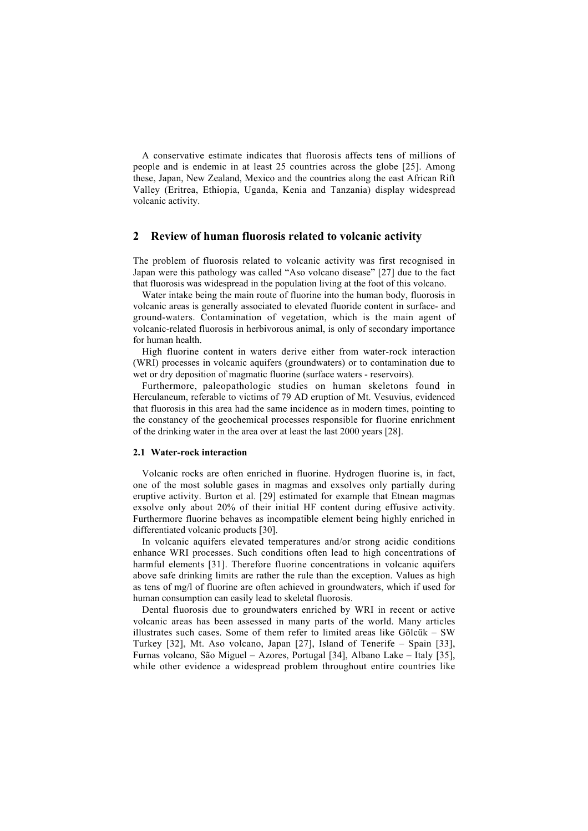A conservative estimate indicates that fluorosis affects tens of millions of people and is endemic in at least 25 countries across the globe [25]. Among these, Japan, New Zealand, Mexico and the countries along the east African Rift Valley (Eritrea, Ethiopia, Uganda, Kenia and Tanzania) display widespread volcanic activity.

## 2 Review of human fluorosis related to volcanic activity

The problem of fluorosis related to volcanic activity was first recognised in Japan were this pathology was called "Aso volcano disease" [27] due to the fact that fluorosis was widespread in the population living at the foot of this volcano.

Water intake being the main route of fluorine into the human body, fluorosis in volcanic areas is generally associated to elevated fluoride content in surface- and ground-waters. Contamination of vegetation, which is the main agent of volcanic-related fluorosis in herbivorous animal, is only of secondary importance for human health.

High fluorine content in waters derive either from water-rock interaction (WRI) processes in volcanic aquifers (groundwaters) or to contamination due to wet or dry deposition of magmatic fluorine (surface waters - reservoirs).

Furthermore, paleopathologic studies on human skeletons found in Herculaneum, referable to victims of 79 AD eruption of Mt. Vesuvius, evidenced that fluorosis in this area had the same incidence as in modern times, pointing to the constancy of the geochemical processes responsible for fluorine enrichment of the drinking water in the area over at least the last 2000 years [28].

#### 2.1 Water-rock interaction

Volcanic rocks are often enriched in fluorine. Hydrogen fluorine is, in fact, one of the most soluble gases in magmas and exsolves only partially during eruptive activity. Burton et al. [29] estimated for example that Etnean magmas exsolve only about 20% of their initial HF content during effusive activity. Furthermore fluorine behaves as incompatible element being highly enriched in differentiated volcanic products [30].

In volcanic aquifers elevated temperatures and/or strong acidic conditions enhance WRI processes. Such conditions often lead to high concentrations of harmful elements [31]. Therefore fluorine concentrations in volcanic aquifers above safe drinking limits are rather the rule than the exception. Values as high as tens of mg/l of fluorine are often achieved in groundwaters, which if used for human consumption can easily lead to skeletal fluorosis.

Dental fluorosis due to groundwaters enriched by WRI in recent or active volcanic areas has been assessed in many parts of the world. Many articles illustrates such cases. Some of them refer to limited areas like Gölcük – SW Turkey [32], Mt. Aso volcano, Japan [27], Island of Tenerife – Spain [33], Furnas volcano, São Miguel – Azores, Portugal [34], Albano Lake – Italy [35], while other evidence a widespread problem throughout entire countries like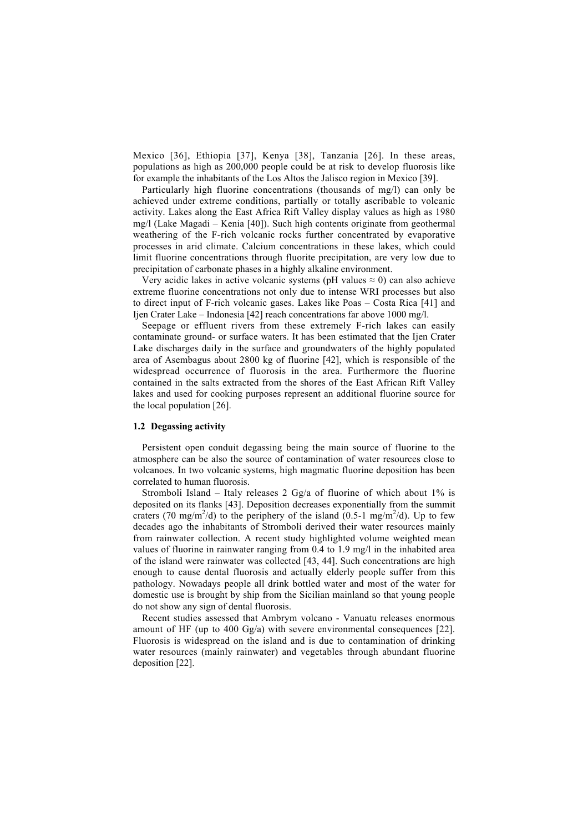Mexico [36], Ethiopia [37], Kenya [38], Tanzania [26]. In these areas, populations as high as 200,000 people could be at risk to develop fluorosis like for example the inhabitants of the Los Altos the Jalisco region in Mexico [39].

Particularly high fluorine concentrations (thousands of mg/l) can only be achieved under extreme conditions, partially or totally ascribable to volcanic activity. Lakes along the East Africa Rift Valley display values as high as 1980 mg/l (Lake Magadi – Kenia [40]). Such high contents originate from geothermal weathering of the F-rich volcanic rocks further concentrated by evaporative processes in arid climate. Calcium concentrations in these lakes, which could limit fluorine concentrations through fluorite precipitation, are very low due to precipitation of carbonate phases in a highly alkaline environment.

Very acidic lakes in active volcanic systems (pH values  $\approx$  0) can also achieve extreme fluorine concentrations not only due to intense WRI processes but also to direct input of F-rich volcanic gases. Lakes like Poas – Costa Rica [41] and Ijen Crater Lake – Indonesia [42] reach concentrations far above 1000 mg/l.

Seepage or effluent rivers from these extremely F-rich lakes can easily contaminate ground- or surface waters. It has been estimated that the Ijen Crater Lake discharges daily in the surface and groundwaters of the highly populated area of Asembagus about 2800 kg of fluorine [42], which is responsible of the widespread occurrence of fluorosis in the area. Furthermore the fluorine contained in the salts extracted from the shores of the East African Rift Valley lakes and used for cooking purposes represent an additional fluorine source for the local population [26].

## 1.2 Degassing activity

Persistent open conduit degassing being the main source of fluorine to the atmosphere can be also the source of contamination of water resources close to volcanoes. In two volcanic systems, high magmatic fluorine deposition has been correlated to human fluorosis.

Stromboli Island – Italy releases 2 Gg/a of fluorine of which about 1% is deposited on its flanks [43]. Deposition decreases exponentially from the summit craters (70 mg/m<sup>2</sup>/d) to the periphery of the island (0.5-1 mg/m<sup>2</sup>/d). Up to few decades ago the inhabitants of Stromboli derived their water resources mainly from rainwater collection. A recent study highlighted volume weighted mean values of fluorine in rainwater ranging from 0.4 to 1.9 mg/l in the inhabited area of the island were rainwater was collected [43, 44]. Such concentrations are high enough to cause dental fluorosis and actually elderly people suffer from this pathology. Nowadays people all drink bottled water and most of the water for domestic use is brought by ship from the Sicilian mainland so that young people do not show any sign of dental fluorosis.

Recent studies assessed that Ambrym volcano - Vanuatu releases enormous amount of HF (up to 400 Gg/a) with severe environmental consequences [22]. Fluorosis is widespread on the island and is due to contamination of drinking water resources (mainly rainwater) and vegetables through abundant fluorine deposition [22].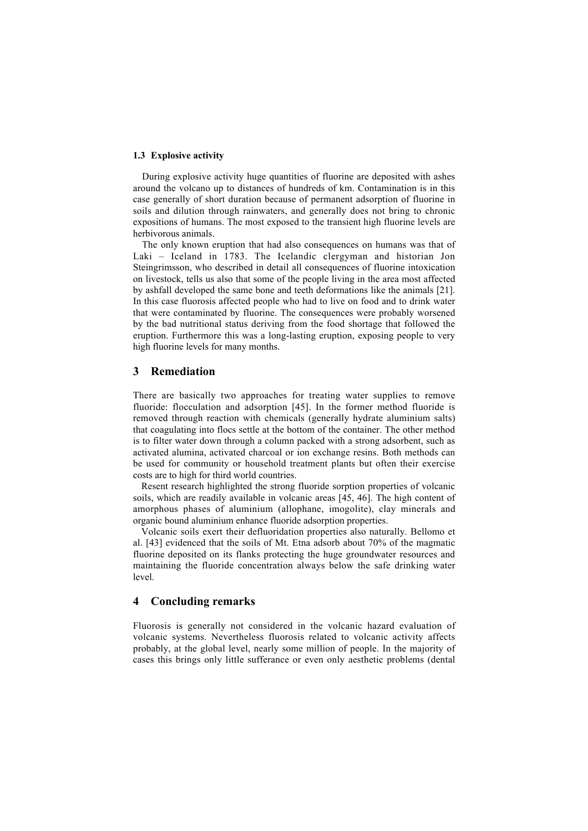## 1.3 Explosive activity

During explosive activity huge quantities of fluorine are deposited with ashes around the volcano up to distances of hundreds of km. Contamination is in this case generally of short duration because of permanent adsorption of fluorine in soils and dilution through rainwaters, and generally does not bring to chronic expositions of humans. The most exposed to the transient high fluorine levels are herbivorous animals.

The only known eruption that had also consequences on humans was that of Laki – Iceland in 1783. The Icelandic clergyman and historian Jon Steingrimsson, who described in detail all consequences of fluorine intoxication on livestock, tells us also that some of the people living in the area most affected by ashfall developed the same bone and teeth deformations like the animals [21]. In this case fluorosis affected people who had to live on food and to drink water that were contaminated by fluorine. The consequences were probably worsened by the bad nutritional status deriving from the food shortage that followed the eruption. Furthermore this was a long-lasting eruption, exposing people to very high fluorine levels for many months.

# 3 Remediation

There are basically two approaches for treating water supplies to remove fluoride: flocculation and adsorption [45]. In the former method fluoride is removed through reaction with chemicals (generally hydrate aluminium salts) that coagulating into flocs settle at the bottom of the container. The other method is to filter water down through a column packed with a strong adsorbent, such as activated alumina, activated charcoal or ion exchange resins. Both methods can be used for community or household treatment plants but often their exercise costs are to high for third world countries.

Resent research highlighted the strong fluoride sorption properties of volcanic soils, which are readily available in volcanic areas [45, 46]. The high content of amorphous phases of aluminium (allophane, imogolite), clay minerals and organic bound aluminium enhance fluoride adsorption properties.

Volcanic soils exert their defluoridation properties also naturally. Bellomo et al. [43] evidenced that the soils of Mt. Etna adsorb about 70% of the magmatic fluorine deposited on its flanks protecting the huge groundwater resources and maintaining the fluoride concentration always below the safe drinking water level.

# 4 Concluding remarks

Fluorosis is generally not considered in the volcanic hazard evaluation of volcanic systems. Nevertheless fluorosis related to volcanic activity affects probably, at the global level, nearly some million of people. In the majority of cases this brings only little sufferance or even only aesthetic problems (dental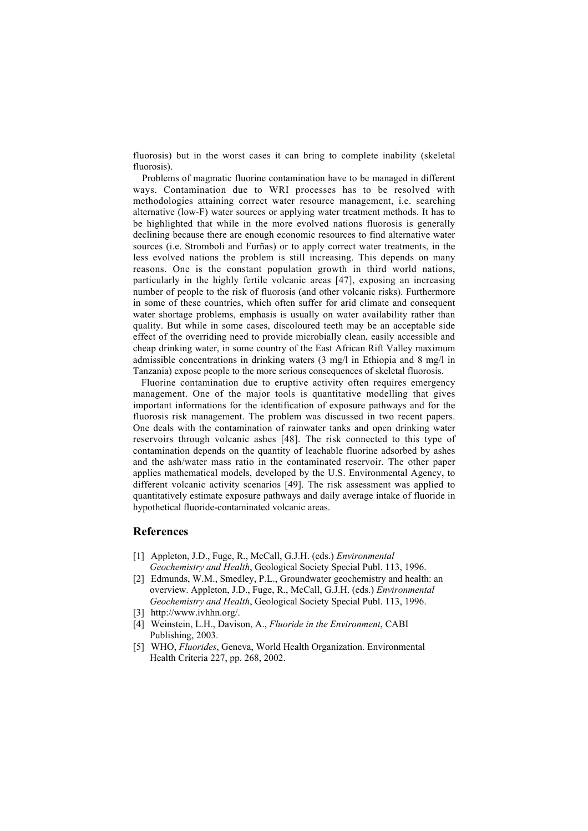fluorosis) but in the worst cases it can bring to complete inability (skeletal fluorosis).

Problems of magmatic fluorine contamination have to be managed in different ways. Contamination due to WRI processes has to be resolved with methodologies attaining correct water resource management, i.e. searching alternative (low-F) water sources or applying water treatment methods. It has to be highlighted that while in the more evolved nations fluorosis is generally declining because there are enough economic resources to find alternative water sources (i.e. Stromboli and Furñas) or to apply correct water treatments, in the less evolved nations the problem is still increasing. This depends on many reasons. One is the constant population growth in third world nations, particularly in the highly fertile volcanic areas [47], exposing an increasing number of people to the risk of fluorosis (and other volcanic risks). Furthermore in some of these countries, which often suffer for arid climate and consequent water shortage problems, emphasis is usually on water availability rather than quality. But while in some cases, discoloured teeth may be an acceptable side effect of the overriding need to provide microbially clean, easily accessible and cheap drinking water, in some country of the East African Rift Valley maximum admissible concentrations in drinking waters (3 mg/l in Ethiopia and 8 mg/l in Tanzania) expose people to the more serious consequences of skeletal fluorosis.

Fluorine contamination due to eruptive activity often requires emergency management. One of the major tools is quantitative modelling that gives important informations for the identification of exposure pathways and for the fluorosis risk management. The problem was discussed in two recent papers. One deals with the contamination of rainwater tanks and open drinking water reservoirs through volcanic ashes [48]. The risk connected to this type of contamination depends on the quantity of leachable fluorine adsorbed by ashes and the ash/water mass ratio in the contaminated reservoir. The other paper applies mathematical models, developed by the U.S. Environmental Agency, to different volcanic activity scenarios [49]. The risk assessment was applied to quantitatively estimate exposure pathways and daily average intake of fluoride in hypothetical fluoride-contaminated volcanic areas.

## References

- [1] Appleton, J.D., Fuge, R., McCall, G.J.H. (eds.) *Environmental Geochemistry and Health*, Geological Society Special Publ. 113, 1996.
- [2] Edmunds, W.M., Smedley, P.L., Groundwater geochemistry and health: an overview. Appleton, J.D., Fuge, R., McCall, G.J.H. (eds.) *Environmental Geochemistry and Health*, Geological Society Special Publ. 113, 1996.
- [3] http://www.ivhhn.org/.
- [4] Weinstein, L.H., Davison, A., *Fluoride in the Environment*, CABI Publishing, 2003.
- [5] WHO, *Fluorides*, Geneva, World Health Organization. Environmental Health Criteria 227, pp. 268, 2002.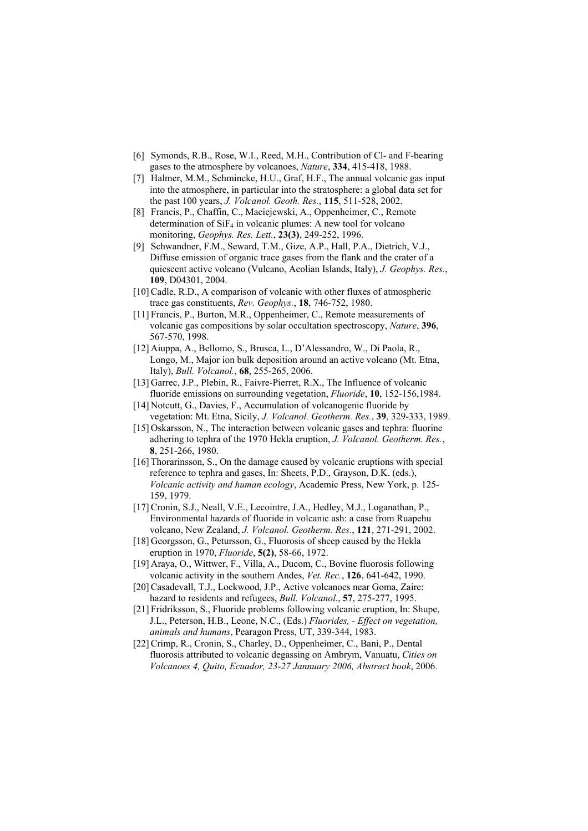- [6] Symonds, R.B., Rose, W.I., Reed, M.H., Contribution of Cl- and F-bearing gases to the atmosphere by volcanoes, *Nature*, 334, 415-418, 1988.
- [7] Halmer, M.M., Schmincke, H.U., Graf, H.F., The annual volcanic gas input into the atmosphere, in particular into the stratosphere: a global data set for the past 100 years, *J. Volcanol. Geoth. Res.*, 115, 511-528, 2002.
- [8] Francis, P., Chaffin, C., Maciejewski, A., Oppenheimer, C., Remote determination of  $\overline{SiF_4}$  in volcanic plumes: A new tool for volcano monitoring, *Geophys. Res. Lett.*, 23(3), 249-252, 1996.
- [9] Schwandner, F.M., Seward, T.M., Gize, A.P., Hall, P.A., Dietrich, V.J., Diffuse emission of organic trace gases from the flank and the crater of a quiescent active volcano (Vulcano, Aeolian Islands, Italy), *J. Geophys. Res.*, 109, D04301, 2004.
- [10] Cadle, R.D., A comparison of volcanic with other fluxes of atmospheric trace gas constituents, *Rev. Geophys.*, 18, 746-752, 1980.
- [11] Francis, P., Burton, M.R., Oppenheimer, C., Remote measurements of volcanic gas compositions by solar occultation spectroscopy, *Nature*, 396, 567-570, 1998.
- [12] Aiuppa, A., Bellomo, S., Brusca, L., D'Alessandro, W., Di Paola, R., Longo, M., Major ion bulk deposition around an active volcano (Mt. Etna, Italy), *Bull. Volcanol.*, 68, 255-265, 2006.
- [13] Garrec, J.P., Plebin, R., Faivre-Pierret, R.X., The Influence of volcanic fluoride emissions on surrounding vegetation, *Fluoride*, 10, 152-156,1984.
- [14] Notcutt, G., Davies, F., Accumulation of volcanogenic fluoride by vegetation: Mt. Etna, Sicily, *J. Volcanol. Geotherm. Res.*, 39, 329-333, 1989.
- [15] Oskarsson, N., The interaction between volcanic gases and tephra: fluorine adhering to tephra of the 1970 Hekla eruption, *J. Volcanol. Geotherm. Res.*, 8, 251-266, 1980.
- [16] Thorarinsson, S., On the damage caused by volcanic eruptions with special reference to tephra and gases, In: Sheets, P.D., Grayson, D.K. (eds.), *Volcanic activity and human ecology*, Academic Press, New York, p. 125- 159, 1979.
- [17] Cronin, S.J., Neall, V.E., Lecointre, J.A., Hedley, M.J., Loganathan, P., Environmental hazards of fluoride in volcanic ash: a case from Ruapehu volcano, New Zealand, *J. Volcanol. Geotherm. Res.*, 121, 271-291, 2002.
- [18] Georgsson, G., Petursson, G., Fluorosis of sheep caused by the Hekla eruption in 1970, *Fluoride*, 5(2), 58-66, 1972.
- [19] Araya, O., Wittwer, F., Villa, A., Ducom, C., Bovine fluorosis following volcanic activity in the southern Andes, *Vet. Rec.*, 126, 641-642, 1990.
- [20] Casadevall, T.J., Lockwood, J.P., Active volcanoes near Goma, Zaire: hazard to residents and refugees, *Bull. Volcanol.*, 57, 275-277, 1995.
- [21] Fridriksson, S., Fluoride problems following volcanic eruption, In: Shupe, J.L., Peterson, H.B., Leone, N.C., (Eds.) *Fluorides, - Effect on vegetation, animals and humans*, Pearagon Press, UT, 339-344, 1983.
- [22] Crimp, R., Cronin, S., Charley, D., Oppenheimer, C., Bani, P., Dental fluorosis attributed to volcanic degassing on Ambrym, Vanuatu, *Cities on Volcanoes 4, Quito, Ecuador, 23-27 Jannuary 2006, Abstract book*, 2006.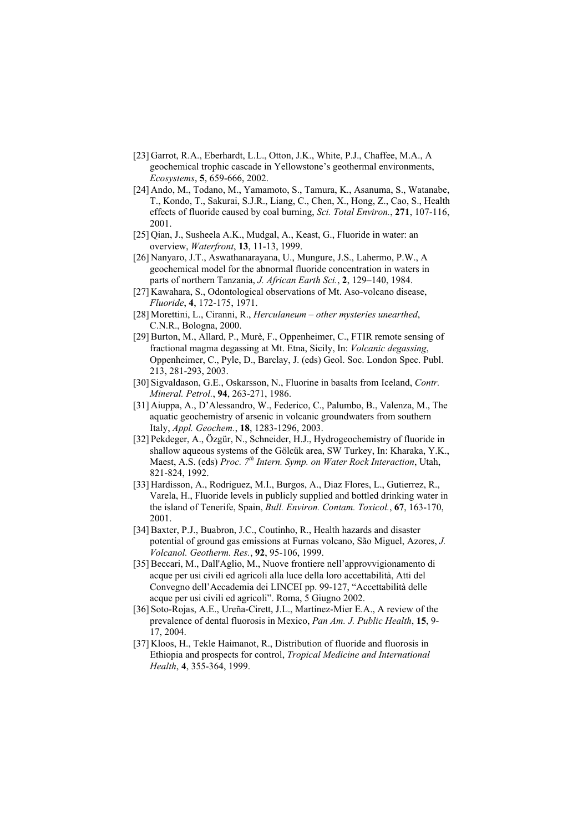- [23] Garrot, R.A., Eberhardt, L.L., Otton, J.K., White, P.J., Chaffee, M.A., A geochemical trophic cascade in Yellowstone's geothermal environments, *Ecosystems*, 5, 659-666, 2002.
- [24] Ando, M., Todano, M., Yamamoto, S., Tamura, K., Asanuma, S., Watanabe, T., Kondo, T., Sakurai, S.J.R., Liang, C., Chen, X., Hong, Z., Cao, S., Health effects of fluoride caused by coal burning, *Sci. Total Environ.*, 271, 107-116, 2001.
- [25] Qian, J., Susheela A.K., Mudgal, A., Keast, G., Fluoride in water: an overview, *Waterfront*, 13, 11-13, 1999.
- [26] Nanyaro, J.T., Aswathanarayana, U., Mungure, J.S., Lahermo, P.W., A geochemical model for the abnormal fluoride concentration in waters in parts of northern Tanzania, *J. African Earth Sci.*, 2, 129–140, 1984.
- [27] Kawahara, S., Odontological observations of Mt. Aso-volcano disease, *Fluoride*, 4, 172-175, 1971.
- [28] Morettini, L., Ciranni, R., *Herculaneum other mysteries unearthed*, C.N.R., Bologna, 2000.
- [29] Burton, M., Allard, P., Murè, F., Oppenheimer, C., FTIR remote sensing of fractional magma degassing at Mt. Etna, Sicily, In: *Volcanic degassing*, Oppenheimer, C., Pyle, D., Barclay, J. (eds) Geol. Soc. London Spec. Publ. 213, 281-293, 2003.
- [30] Sigvaldason, G.E., Oskarsson, N., Fluorine in basalts from Iceland, *Contr. Mineral. Petrol.*, 94, 263-271, 1986.
- [31] Aiuppa, A., D'Alessandro, W., Federico, C., Palumbo, B., Valenza, M., The aquatic geochemistry of arsenic in volcanic groundwaters from southern Italy, *Appl. Geochem.*, 18, 1283-1296, 2003.
- [32] Pekdeger, A., Özgür, N., Schneider, H.J., Hydrogeochemistry of fluoride in shallow aqueous systems of the Gölcük area, SW Turkey, In: Kharaka, Y.K., Maest, A.S. (eds) *Proc. 7th Intern. Symp. on Water Rock Interaction*, Utah, 821-824, 1992.
- [33] Hardisson, A., Rodriguez, M.I., Burgos, A., Diaz Flores, L., Gutierrez, R., Varela, H., Fluoride levels in publicly supplied and bottled drinking water in the island of Tenerife, Spain, *Bull. Environ. Contam. Toxicol.*, 67, 163-170, 2001.
- [34] Baxter, P.J., Buabron, J.C., Coutinho, R., Health hazards and disaster potential of ground gas emissions at Furnas volcano, São Miguel, Azores, *J. Volcanol. Geotherm. Res.*, 92, 95-106, 1999.
- [35]Beccari, M., Dall'Aglio, M., Nuove frontiere nell'approvvigionamento di acque per usi civili ed agricoli alla luce della loro accettabilità, Atti del Convegno dell'Accademia dei LINCEI pp. 99-127, "Accettabilità delle acque per usi civili ed agricoli". Roma, 5 Giugno 2002.
- [36] Soto-Rojas, A.E., Ureña-Cirett, J.L., Martínez-Mier E.A., A review of the prevalence of dental fluorosis in Mexico, *Pan Am. J. Public Health*, 15, 9- 17, 2004.
- [37] Kloos, H., Tekle Haimanot, R., Distribution of fluoride and fluorosis in Ethiopia and prospects for control, *Tropical Medicine and International Health*, 4, 355-364, 1999.